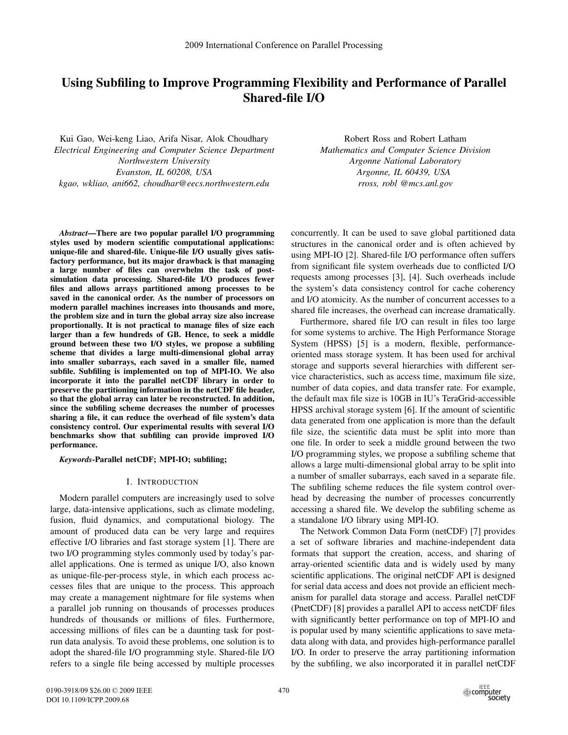# Using Subfiling to Improve Programming Flexibility and Performance of Parallel Shared-file I/O

Kui Gao, Wei-keng Liao, Arifa Nisar, Alok Choudhary *Electrical Engineering and Computer Science Department Northwestern University Evanston, IL 60208, USA kgao, wkliao, ani662, choudhar@eecs.northwestern.edu*

Robert Ross and Robert Latham *Mathematics and Computer Science Division Argonne National Laboratory Argonne, IL 60439, USA rross, robl @mcs.anl.gov*

*Abstract*—There are two popular parallel I/O programming styles used by modern scientific computational applications: unique-file and shared-file. Unique-file I/O usually gives satisfactory performance, but its major drawback is that managing a large number of files can overwhelm the task of postsimulation data processing. Shared-file I/O produces fewer files and allows arrays partitioned among processes to be saved in the canonical order. As the number of processors on modern parallel machines increases into thousands and more, the problem size and in turn the global array size also increase proportionally. It is not practical to manage files of size each larger than a few hundreds of GB. Hence, to seek a middle ground between these two I/O styles, we propose a subfiling scheme that divides a large multi-dimensional global array into smaller subarrays, each saved in a smaller file, named subfile. Subfiling is implemented on top of MPI-IO. We also incorporate it into the parallel netCDF library in order to preserve the partitioning information in the netCDF file header, so that the global array can later be reconstructed. In addition, since the subfiling scheme decreases the number of processes sharing a file, it can reduce the overhead of file system's data consistency control. Our experimental results with several I/O benchmarks show that subfiling can provide improved I/O performance.

*Keywords*-Parallel netCDF; MPI-IO; subfiling;

#### I. INTRODUCTION

Modern parallel computers are increasingly used to solve large, data-intensive applications, such as climate modeling, fusion, fluid dynamics, and computational biology. The amount of produced data can be very large and requires effective I/O libraries and fast storage system [1]. There are two I/O programming styles commonly used by today's parallel applications. One is termed as unique I/O, also known as unique-file-per-process style, in which each process accesses files that are unique to the process. This approach may create a management nightmare for file systems when a parallel job running on thousands of processes produces hundreds of thousands or millions of files. Furthermore, accessing millions of files can be a daunting task for postrun data analysis. To avoid these problems, one solution is to adopt the shared-file I/O programming style. Shared-file I/O refers to a single file being accessed by multiple processes

concurrently. It can be used to save global partitioned data structures in the canonical order and is often achieved by using MPI-IO [2]. Shared-file I/O performance often suffers from significant file system overheads due to conflicted I/O requests among processes [3], [4]. Such overheads include the system's data consistency control for cache coherency and I/O atomicity. As the number of concurrent accesses to a shared file increases, the overhead can increase dramatically.

Furthermore, shared file I/O can result in files too large for some systems to archive. The High Performance Storage System (HPSS) [5] is a modern, flexible, performanceoriented mass storage system. It has been used for archival storage and supports several hierarchies with different service characteristics, such as access time, maximum file size, number of data copies, and data transfer rate. For example, the default max file size is 10GB in IU's TeraGrid-accessible HPSS archival storage system [6]. If the amount of scientific data generated from one application is more than the default file size, the scientific data must be split into more than one file. In order to seek a middle ground between the two I/O programming styles, we propose a subfiling scheme that allows a large multi-dimensional global array to be split into a number of smaller subarrays, each saved in a separate file. The subfiling scheme reduces the file system control overhead by decreasing the number of processes concurrently accessing a shared file. We develop the subfiling scheme as a standalone I/O library using MPI-IO.

The Network Common Data Form (netCDF) [7] provides a set of software libraries and machine-independent data formats that support the creation, access, and sharing of array-oriented scientific data and is widely used by many scientific applications. The original netCDF API is designed for serial data access and does not provide an efficient mechanism for parallel data storage and access. Parallel netCDF (PnetCDF) [8] provides a parallel API to access netCDF files with significantly better performance on top of MPI-IO and is popular used by many scientific applications to save metadata along with data, and provides high-performance parallel I/O. In order to preserve the array partitioning information by the subfiling, we also incorporated it in parallel netCDF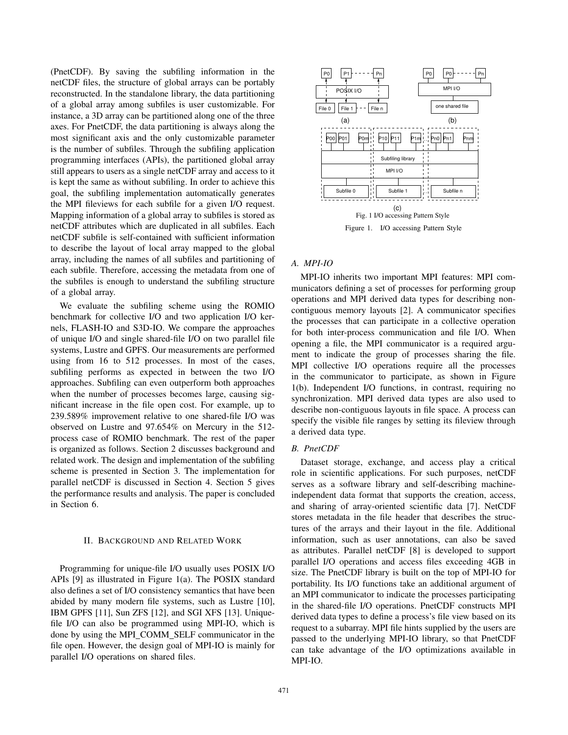(PnetCDF). By saving the subfiling information in the netCDF files, the structure of global arrays can be portably reconstructed. In the standalone library, the data partitioning of a global array among subfiles is user customizable. For instance, a 3D array can be partitioned along one of the three axes. For PnetCDF, the data partitioning is always along the most significant axis and the only customizable parameter is the number of subfiles. Through the subfiling application programming interfaces (APIs), the partitioned global array still appears to users as a single netCDF array and access to it is kept the same as without subfiling. In order to achieve this goal, the subfiling implementation automatically generates the MPI fileviews for each subfile for a given I/O request. Mapping information of a global array to subfiles is stored as netCDF attributes which are duplicated in all subfiles. Each netCDF subfile is self-contained with sufficient information to describe the layout of local array mapped to the global array, including the names of all subfiles and partitioning of each subfile. Therefore, accessing the metadata from one of the subfiles is enough to understand the subfiling structure of a global array.

We evaluate the subfiling scheme using the ROMIO benchmark for collective I/O and two application I/O kernels, FLASH-IO and S3D-IO. We compare the approaches of unique I/O and single shared-file I/O on two parallel file systems, Lustre and GPFS. Our measurements are performed using from 16 to 512 processes. In most of the cases, subfiling performs as expected in between the two I/O approaches. Subfiling can even outperform both approaches when the number of processes becomes large, causing significant increase in the file open cost. For example, up to 239.589% improvement relative to one shared-file I/O was observed on Lustre and 97.654% on Mercury in the 512 process case of ROMIO benchmark. The rest of the paper is organized as follows. Section 2 discusses background and related work. The design and implementation of the subfiling scheme is presented in Section 3. The implementation for parallel netCDF is discussed in Section 4. Section 5 gives the performance results and analysis. The paper is concluded in Section 6. induces at 3D are valid in the time in the time in the share of the state of the state of the state of the state of the state of the state of the state of the state of the state of the state of the state of the state of t

#### II. BACKGROUND AND RELATED WORK

Programming for unique-file I/O usually uses POSIX I/O APIs [9] as illustrated in Figure 1(a). The POSIX standard also defines a set of I/O consistency semantics that have been abided by many modern file systems, such as Lustre [10], IBM GPFS [11], Sun ZFS [12], and SGI XFS [13]. Uniquefile I/O can also be programmed using MPI-IO, which is done by using the MPI COMM SELF communicator in the file open. However, the design goal of MPI-IO is mainly for



# *A. MPI-IO*

MPI-IO inherits two important MPI features: MPI communicators defining a set of processes for performing group operations and MPI derived data types for describing noncontiguous memory layouts [2]. A communicator specifies the processes that can participate in a collective operation for both inter-process communication and file I/O. When opening a file, the MPI communicator is a required argument to indicate the group of processes sharing the file. MPI collective I/O operations require all the processes in the communicator to participate, as shown in Figure 1(b). Independent I/O functions, in contrast, requiring no synchronization. MPI derived data types are also used to describe non-contiguous layouts in file space. A process can specify the visible file ranges by setting its fileview through a derived data type.

# *B. PnetCDF*

Dataset storage, exchange, and access play a critical role in scientific applications. For such purposes, netCDF serves as a software library and self-describing machineindependent data format that supports the creation, access, and sharing of array-oriented scientific data [7]. NetCDF stores metadata in the file header that describes the structures of the arrays and their layout in the file. Additional information, such as user annotations, can also be saved as attributes. Parallel netCDF [8] is developed to support parallel I/O operations and access files exceeding 4GB in size. The PnetCDF library is built on the top of MPI-IO for portability. Its I/O functions take an additional argument of an MPI communicator to indicate the processes participating in the shared-file I/O operations. PnetCDF constructs MPI derived data types to define a process's file view based on its request to a subarray. MPI file hints supplied by the users are passed to the underlying MPI-IO library, so that PnetCDF can take advantage of the I/O optimizations available in MPI-IO.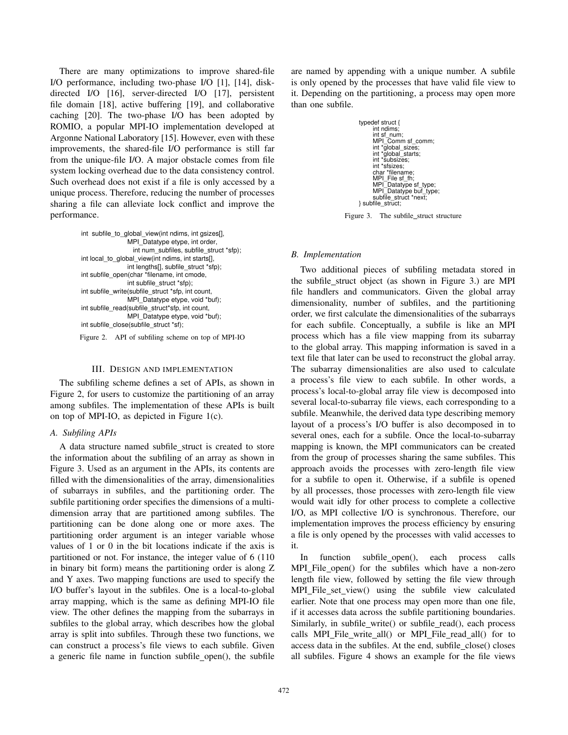There are many optimizations to improve shared-file I/O performance, including two-phase I/O [1], [14], diskdirected I/O [16], server-directed I/O [17], persistent file domain [18], active buffering [19], and collaborative caching [20]. The two-phase I/O has been adopted by ROMIO, a popular MPI-IO implementation developed at Argonne National Laboratory [15]. However, even with these improvements, the shared-file I/O performance is still far from the unique-file I/O. A major obstacle comes from file system locking overhead due to the data consistency control. Such overhead does not exist if a file is only accessed by a unique process. Therefore, reducing the number of processes sharing a file can alleviate lock conflict and improve the performance.

> int subfile\_to\_global\_view(int ndims, int gsizes[], MPI\_Datatype etype, int order, int lengths[], subfile\_struct \*sfp); int local\_to\_global\_view(int ndims, int starts[], int num\_subfiles, subfile\_struct \*sfp); int subfile\_open(char \*filename, int cmode, int subfile\_struct \*sfp); MPI\_Datatype etype, void \*buf); int subfile\_write(subfile\_struct \*sfp, int count, int subfile\_read(subfile\_struct\*sfp, int count, MPI\_Datatype etype, void \*buf); int subfile\_close(subfile\_struct \*sf); Figure 2. API of subfiling scheme on top of MPI-IO

#### III. DESIGN AND IMPLEMENTATION

The subfiling scheme defines a set of APIs, as shown in Figure 2, for users to customize the partitioning of an array among subfiles. The implementation of these APIs is built on top of MPI-IO, as depicted in Figure 1(c).

# *A. Subfiling APIs*

A data structure named subfile\_struct is created to store the information about the subfiling of an array as shown in Figure 3. Used as an argument in the APIs, its contents are filled with the dimensionalities of the array, dimensionalities of subarrays in subfiles, and the partitioning order. The subfile partitioning order specifies the dimensions of a multidimension array that are partitioned among subfiles. The partitioning can be done along one or more axes. The partitioning order argument is an integer variable whose values of 1 or 0 in the bit locations indicate if the axis is partitioned or not. For instance, the integer value of 6 (110 in binary bit form) means the partitioning order is along Z and Y axes. Two mapping functions are used to specify the I/O buffer's layout in the subfiles. One is a local-to-global array mapping, which is the same as defining MPI-IO file view. The other defines the mapping from the subarrays in subfiles to the global array, which describes how the global array is split into subfiles. Through these two functions, we can construct a process's file views to each subfile. Given a generic file name in function subfile open(), the subfile

are named by appending with a unique number. A subfile is only opened by the processes that have valid file view to it. Depending on the partitioning, a process may open more than one subfile.



Figure 3. The subfile\_struct structure

# *B. Implementation*

Two additional pieces of subfiling metadata stored in the subfile struct object (as shown in Figure 3.) are MPI file handlers and communicators. Given the global array dimensionality, number of subfiles, and the partitioning order, we first calculate the dimensionalities of the subarrays for each subfile. Conceptually, a subfile is like an MPI process which has a file view mapping from its subarray to the global array. This mapping information is saved in a text file that later can be used to reconstruct the global array. The subarray dimensionalities are also used to calculate a process's file view to each subfile. In other words, a process's local-to-global array file view is decomposed into several local-to-subarray file views, each corresponding to a subfile. Meanwhile, the derived data type describing memory layout of a process's I/O buffer is also decomposed in to several ones, each for a subfile. Once the local-to-subarray mapping is known, the MPI communicators can be created from the group of processes sharing the same subfiles. This approach avoids the processes with zero-length file view for a subfile to open it. Otherwise, if a subfile is opened by all processes, those processes with zero-length file view would wait idly for other process to complete a collective I/O, as MPI collective I/O is synchronous. Therefore, our implementation improves the process efficiency by ensuring a file is only opened by the processes with valid accesses to it.

In function subfile open(), each process calls MPI File open() for the subfiles which have a non-zero length file view, followed by setting the file view through MPI File set view() using the subfile view calculated earlier. Note that one process may open more than one file, if it accesses data across the subfile partitioning boundaries. Similarly, in subfile\_write() or subfile\_read(), each process calls MPI File write all() or MPI File read all() for to access data in the subfiles. At the end, subfile close() closes all subfiles. Figure 4 shows an example for the file views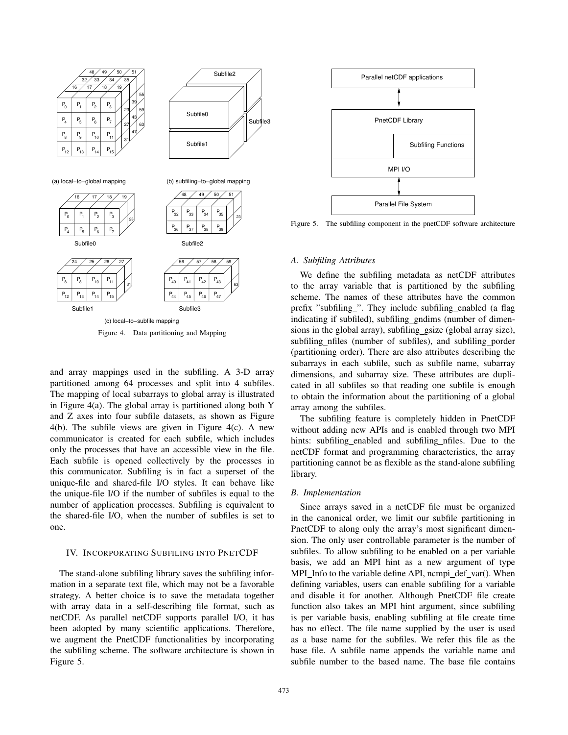

Figure 4. Data partitioning and Mapping

and array mappings used in the subfiling. A 3-D array partitioned among 64 processes and split into 4 subfiles. The mapping of local subarrays to global array is illustrated in Figure 4(a). The global array is partitioned along both Y and Z axes into four subfile datasets, as shown as Figure 4(b). The subfile views are given in Figure 4(c). A new communicator is created for each subfile, which includes only the processes that have an accessible view in the file. Each subfile is opened collectively by the processes in this communicator. Subfiling is in fact a superset of the unique-file and shared-file I/O styles. It can behave like the unique-file I/O if the number of subfiles is equal to the number of application processes. Subfiling is equivalent to the shared-file I/O, when the number of subfiles is set to one.

# IV. INCORPORATING SUBFILING INTO PNETCDF

The stand-alone subfiling library saves the subfiling information in a separate text file, which may not be a favorable strategy. A better choice is to save the metadata together with array data in a self-describing file format, such as netCDF. As parallel netCDF supports parallel I/O, it has been adopted by many scientific applications. Therefore, we augment the PnetCDF functionalities by incorporating the subfiling scheme. The software architecture is shown in



Figure 5. The subfiling component in the pnetCDF software architecture

# *A. Subfiling Attributes*

We define the subfiling metadata as netCDF attributes to the array variable that is partitioned by the subfiling scheme. The names of these attributes have the common prefix "subfiling\_". They include subfiling\_enabled (a flag indicating if subfiled), subfiling\_gndims (number of dimensions in the global array), subfiling gsize (global array size), subfiling\_nfiles (number of subfiles), and subfiling\_porder (partitioning order). There are also attributes describing the subarrays in each subfile, such as subfile name, subarray dimensions, and subarray size. These attributes are duplicated in all subfiles so that reading one subfile is enough to obtain the information about the partitioning of a global array among the subfiles.

The subfiling feature is completely hidden in PnetCDF without adding new APIs and is enabled through two MPI hints: subfiling enabled and subfiling nfiles. Due to the netCDF format and programming characteristics, the array partitioning cannot be as flexible as the stand-alone subfiling library.

## *B. Implementation*

Since arrays saved in a netCDF file must be organized in the canonical order, we limit our subfile partitioning in PnetCDF to along only the array's most significant dimension. The only user controllable parameter is the number of subfiles. To allow subfiling to be enabled on a per variable basis, we add an MPI hint as a new argument of type MPI Info to the variable define API, ncmpi def var(). When defining variables, users can enable subfiling for a variable and disable it for another. Although PnetCDF file create function also takes an MPI hint argument, since subfiling is per variable basis, enabling subfiling at file create time has no effect. The file name supplied by the user is used as a base name for the subfiles. We refer this file as the base file. A subfile name appends the variable name and subfile number to the based name. The base file contains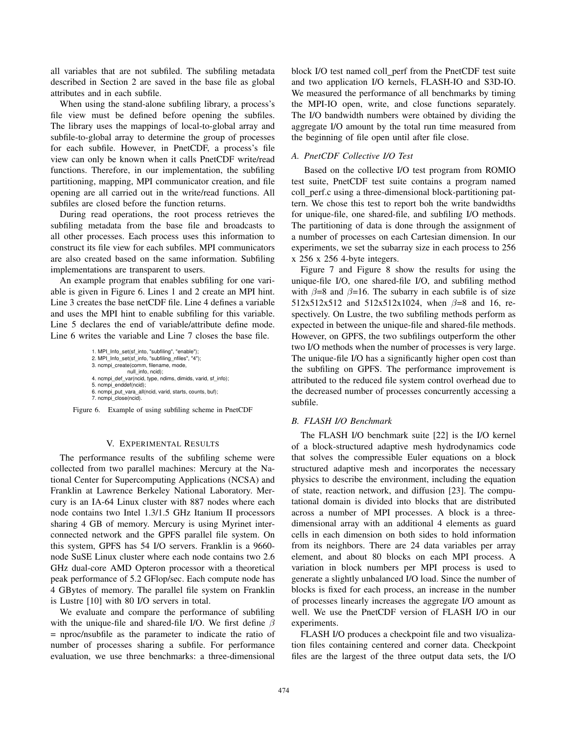all variables that are not subfiled. The subfiling metadata described in Section 2 are saved in the base file as global attributes and in each subfile.

When using the stand-alone subfiling library, a process's file view must be defined before opening the subfiles. The library uses the mappings of local-to-global array and subfile-to-global array to determine the group of processes for each subfile. However, in PnetCDF, a process's file view can only be known when it calls PnetCDF write/read functions. Therefore, in our implementation, the subfiling partitioning, mapping, MPI communicator creation, and file opening are all carried out in the write/read functions. All subfiles are closed before the function returns.

During read operations, the root process retrieves the subfiling metadata from the base file and broadcasts to all other processes. Each process uses this information to construct its file view for each subfiles. MPI communicators are also created based on the same information. Subfiling implementations are transparent to users.

An example program that enables subfiling for one variable is given in Figure 6. Lines 1 and 2 create an MPI hint. Line 3 creates the base netCDF file. Line 4 defines a variable and uses the MPI hint to enable subfiling for this variable. Line 5 declares the end of variable/attribute define mode. Line 6 writes the variable and Line 7 closes the base file.

```
1. MPI_Info_set(sf_into, "subfiling", "enable");
2. MPI_Info_set(sf_info, "subfiling_nfiles", "4");
3. ncmpi_create(comm, filename, mode,
                null_info, ncid);
4. ncmpi_def_var(ncid, type, ndims, dimids, varid, sf_info);
5. ncmpi_enddef(ncid);
6. ncmpi_put_vara_all(ncid, varid, starts, counts, buf); 
7. ncmpi_close(ncid).
```
Figure 6. Example of using subfiling scheme in PnetCDF

# V. EXPERIMENTAL RESULTS

The performance results of the subfiling scheme were collected from two parallel machines: Mercury at the National Center for Supercomputing Applications (NCSA) and Franklin at Lawrence Berkeley National Laboratory. Mercury is an IA-64 Linux cluster with 887 nodes where each node contains two Intel 1.3/1.5 GHz Itanium II processors sharing 4 GB of memory. Mercury is using Myrinet interconnected network and the GPFS parallel file system. On this system, GPFS has 54 I/O servers. Franklin is a 9660 node SuSE Linux cluster where each node contains two 2.6 GHz dual-core AMD Opteron processor with a theoretical peak performance of 5.2 GFlop/sec. Each compute node has 4 GBytes of memory. The parallel file system on Franklin is Lustre [10] with 80 I/O servers in total.

We evaluate and compare the performance of subfiling with the unique-file and shared-file I/O. We first define  $\beta$ = nproc/nsubfile as the parameter to indicate the ratio of number of processes sharing a subfile. For performance evaluation, we use three benchmarks: a three-dimensional

block I/O test named coll\_perf from the PnetCDF test suite and two application I/O kernels, FLASH-IO and S3D-IO. We measured the performance of all benchmarks by timing the MPI-IO open, write, and close functions separately. The I/O bandwidth numbers were obtained by dividing the aggregate I/O amount by the total run time measured from the beginning of file open until after file close.

# *A. PnetCDF Collective I/O Test*

Based on the collective I/O test program from ROMIO test suite, PnetCDF test suite contains a program named coll perf.c using a three-dimensional block-partitioning pattern. We chose this test to report boh the write bandwidths for unique-file, one shared-file, and subfiling I/O methods. The partitioning of data is done through the assignment of a number of processes on each Cartesian dimension. In our experiments, we set the subarray size in each process to 256 x 256 x 256 4-byte integers.

Figure 7 and Figure 8 show the results for using the unique-file I/O, one shared-file I/O, and subfiling method with  $\beta = 8$  and  $\beta = 16$ . The subarry in each subfile is of size 512x512x512 and 512x512x1024, when  $\beta = 8$  and 16, respectively. On Lustre, the two subfiling methods perform as expected in between the unique-file and shared-file methods. However, on GPFS, the two subfilings outperform the other two I/O methods when the number of processes is very large. The unique-file I/O has a significantly higher open cost than the subfiling on GPFS. The performance improvement is attributed to the reduced file system control overhead due to the decreased number of processes concurrently accessing a subfile.

### *B. FLASH I/O Benchmark*

The FLASH I/O benchmark suite [22] is the I/O kernel of a block-structured adaptive mesh hydrodynamics code that solves the compressible Euler equations on a block structured adaptive mesh and incorporates the necessary physics to describe the environment, including the equation of state, reaction network, and diffusion [23]. The computational domain is divided into blocks that are distributed across a number of MPI processes. A block is a threedimensional array with an additional 4 elements as guard cells in each dimension on both sides to hold information from its neighbors. There are 24 data variables per array element, and about 80 blocks on each MPI process. A variation in block numbers per MPI process is used to generate a slightly unbalanced I/O load. Since the number of blocks is fixed for each process, an increase in the number of processes linearly increases the aggregate I/O amount as well. We use the PnetCDF version of FLASH I/O in our experiments.

FLASH I/O produces a checkpoint file and two visualization files containing centered and corner data. Checkpoint files are the largest of the three output data sets, the I/O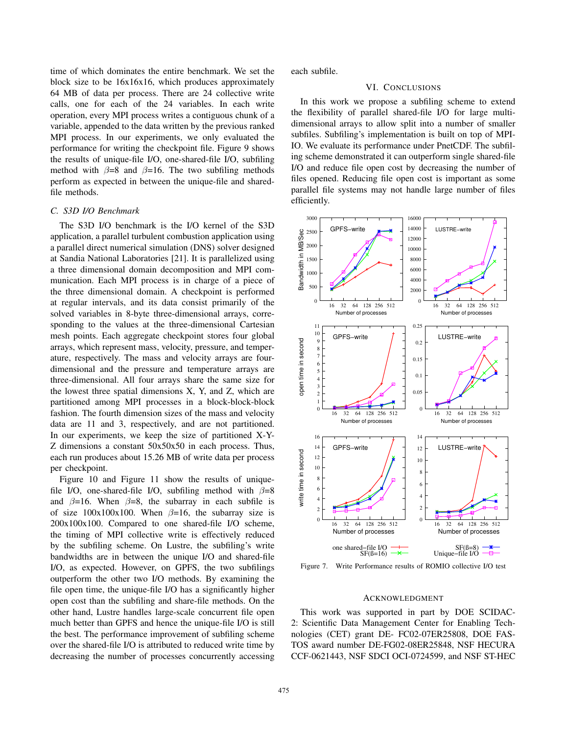time of which dominates the entire benchmark. We set the block size to be 16x16x16, which produces approximately 64 MB of data per process. There are 24 collective write calls, one for each of the 24 variables. In each write operation, every MPI process writes a contiguous chunk of a variable, appended to the data written by the previous ranked MPI process. In our experiments, we only evaluated the performance for writing the checkpoint file. Figure 9 shows the results of unique-file I/O, one-shared-file I/O, subfiling method with  $\beta=8$  and  $\beta=16$ . The two subfiling methods perform as expected in between the unique-file and sharedfile methods.

# *C. S3D I/O Benchmark*

The S3D I/O benchmark is the I/O kernel of the S3D application, a parallel turbulent combustion application using a parallel direct numerical simulation (DNS) solver designed at Sandia National Laboratories [21]. It is parallelized using a three dimensional domain decomposition and MPI communication. Each MPI process is in charge of a piece of the three dimensional domain. A checkpoint is performed at regular intervals, and its data consist primarily of the solved variables in 8-byte three-dimensional arrays, corresponding to the values at the three-dimensional Cartesian mesh points. Each aggregate checkpoint stores four global arrays, which represent mass, velocity, pressure, and temperature, respectively. The mass and velocity arrays are fourdimensional and the pressure and temperature arrays are three-dimensional. All four arrays share the same size for the lowest three spatial dimensions X, Y, and Z, which are partitioned among MPI processes in a block-block-block fashion. The fourth dimension sizes of the mass and velocity data are 11 and 3, respectively, and are not partitioned. In our experiments, we keep the size of partitioned X-Y-Z dimensions a constant 50x50x50 in each process. Thus, each run produces about 15.26 MB of write data per process per checkpoint.

Figure 10 and Figure 11 show the results of uniquefile I/O, one-shared-file I/O, subfiling method with  $\beta=8$ and  $\beta=16$ . When  $\beta=8$ , the subarray in each subfile is of size  $100x100x100$ . When  $\beta=16$ , the subarray size is 200x100x100. Compared to one shared-file I/O scheme, the timing of MPI collective write is effectively reduced by the subfiling scheme. On Lustre, the subfiling's write bandwidths are in between the unique I/O and shared-file I/O, as expected. However, on GPFS, the two subfilings outperform the other two I/O methods. By examining the file open time, the unique-file I/O has a significantly higher open cost than the subfiling and share-file methods. On the other hand, Lustre handles large-scale concurrent file open much better than GPFS and hence the unique-file I/O is still the best. The performance improvement of subfiling scheme over the shared-file I/O is attributed to reduced write time by decreasing the number of processes concurrently accessing each subfile.

# VI. CONCLUSIONS

In this work we propose a subfiling scheme to extend the flexibility of parallel shared-file I/O for large multidimensional arrays to allow split into a number of smaller subfiles. Subfiling's implementation is built on top of MPI-IO. We evaluate its performance under PnetCDF. The subfiling scheme demonstrated it can outperform single shared-file I/O and reduce file open cost by decreasing the number of files opened. Reducing file open cost is important as some parallel file systems may not handle large number of files efficiently.



Figure 7. Write Performance results of ROMIO collective I/O test

# ACKNOWLEDGMENT

This work was supported in part by DOE SCIDAC-2: Scientific Data Management Center for Enabling Technologies (CET) grant DE- FC02-07ER25808, DOE FAS-TOS award number DE-FG02-08ER25848, NSF HECURA CCF-0621443, NSF SDCI OCI-0724599, and NSF ST-HEC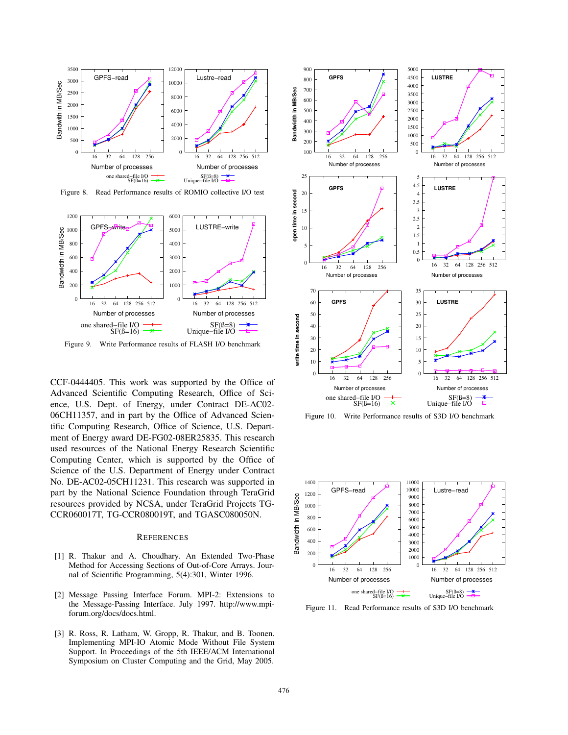

Figure 8. Read Performance results of ROMIO collective I/O test



Figure 9. Write Performance results of FLASH I/O benchmark

CCF-0444405. This work was supported by the Office of Advanced Scientific Computing Research, Office of Science, U.S. Dept. of Energy, under Contract DE-AC02- 06CH11357, and in part by the Office of Advanced Scientific Computing Research, Office of Science, U.S. Department of Energy award DE-FG02-08ER25835. This research used resources of the National Energy Research Scientific Computing Center, which is supported by the Office of Science of the U.S. Department of Energy under Contract No. DE-AC02-05CH11231. This research was supported in part by the National Science Foundation through TeraGrid resources provided by NCSA, under TeraGrid Projects TG-CCR060017T, TG-CCR080019T, and TGASC080050N.

# **REFERENCES**

- [1] R. Thakur and A. Choudhary. An Extended Two-Phase Method for Accessing Sections of Out-of-Core Arrays. Journal of Scientific Programming, 5(4):301, Winter 1996.
- [2] Message Passing Interface Forum. MPI-2: Extensions to the Message-Passing Interface. July 1997. http://www.mpiforum.org/docs/docs.html.
- [3] R. Ross, R. Latham, W. Gropp, R. Thakur, and B. Toonen. Implementing MPI-IO Atomic Mode Without File System Support. In Proceedings of the 5th IEEE/ACM International Symposium on Cluster Computing and the Grid, May 2005.



Figure 10. Write Performance results of S3D I/O benchmark



Figure 11. Read Performance results of S3D I/O benchmark